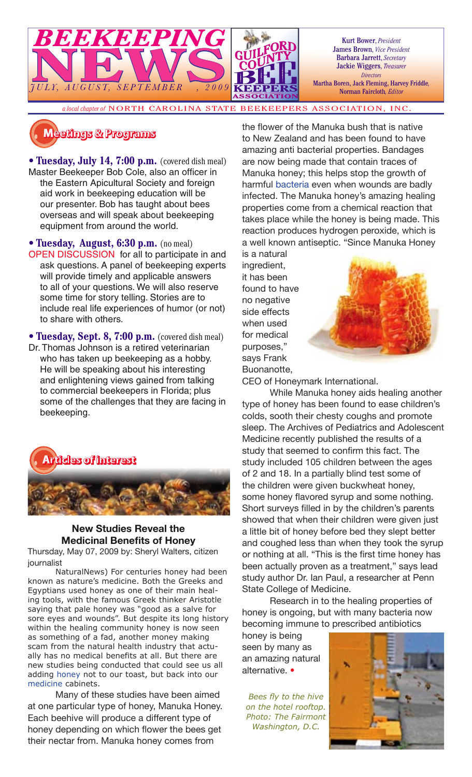

Kurt Bower, *President* James Brown, *Vice President* Barbara Jarrett, *Secretary* Jackie Wiggers, *Treasurer Directors* Martha Boren, Jack Fleming, Harvey Friddle*,*  Norman Faircloth*, Editor*

*a local chapter of* NORTH CAROLINA STATE BEEKEEPERS ASSOCIATION, INC.

# **Meetings & Programs**

• **Tuesday, July 14, 7:00 p.m.** (covered dish meal) Master Beekeeper Bob Cole, also an officer in the Eastern Apicultural Society and foreign aid work in beekeeping education will be our presenter. Bob has taught about bees overseas and will speak about beekeeping equipment from around the world.

• **Tuesday, August, 6:30 p.m.** (no meal) OPEN DISCUSSION for all to participate in and ask questions. A panel of beekeeping experts will provide timely and applicable answers to all of your questions. We will also reserve some time for story telling. Stories are to include real life experiences of humor (or not) to share with others.

• **Tuesday, Sept. 8, 7:00 p.m.** (covered dish meal) Dr. Thomas Johnson is a retired veterinarian who has taken up beekeeping as a hobby. He will be speaking about his interesting and enlightening views gained from talking to commercial beekeepers in Florida; plus some of the challenges that they are facing in beekeeping.



#### **New Studies Reveal the Medicinal Benefits of Honey**

Thursday, May 07, 2009 by: Sheryl Walters, citizen journalist

NaturalNews) For centuries honey had been known as nature's medicine. Both the Greeks and Egyptians used honey as one of their main healing tools, with the famous Greek thinker Aristotle saying that pale honey was "good as a salve for sore eyes and wounds". But despite its long history within the healing community honey is now seen as something of a fad, another money making scam from the natural health industry that actually has no medical benefits at all. But there are new studies being conducted that could see us all adding honey not to our toast, but back into our medicine cabinets.

Many of these studies have been aimed at one particular type of honey, Manuka Honey. Each beehive will produce a different type of honey depending on which flower the bees get their nectar from. Manuka honey comes from

the flower of the Manuka bush that is native to New Zealand and has been found to have amazing anti bacterial properties. Bandages are now being made that contain traces of Manuka honey; this helps stop the growth of harmful bacteria even when wounds are badly infected. The Manuka honey's amazing healing properties come from a chemical reaction that takes place while the honey is being made. This reaction produces hydrogen peroxide, which is a well known antiseptic. "Since Manuka Honey is a natural

ingredient, it has been found to have no negative side effects when used for medical purposes," says Frank Buonanotte,



CEO of Honeymark International.

While Manuka honey aids healing another type of honey has been found to ease children's colds, sooth their chesty coughs and promote sleep. The Archives of Pediatrics and Adolescent Medicine recently published the results of a study that seemed to confirm this fact. The study included 105 children between the ages of 2 and 18. In a partially blind test some of the children were given buckwheat honey, some honey flavored syrup and some nothing. Short surveys filled in by the children's parents showed that when their children were given just a little bit of honey before bed they slept better and coughed less than when they took the syrup or nothing at all. "This is the first time honey has been actually proven as a treatment," says lead study author Dr. Ian Paul, a researcher at Penn State College of Medicine.

Research in to the healing properties of honey is ongoing, but with many bacteria now becoming immune to prescribed antibiotics

honey is being seen by many as an amazing natural alternative. •

**Bees fly to the hive** *on the hotel rooftop. Photo: The Fairmont Washington, D.C.*

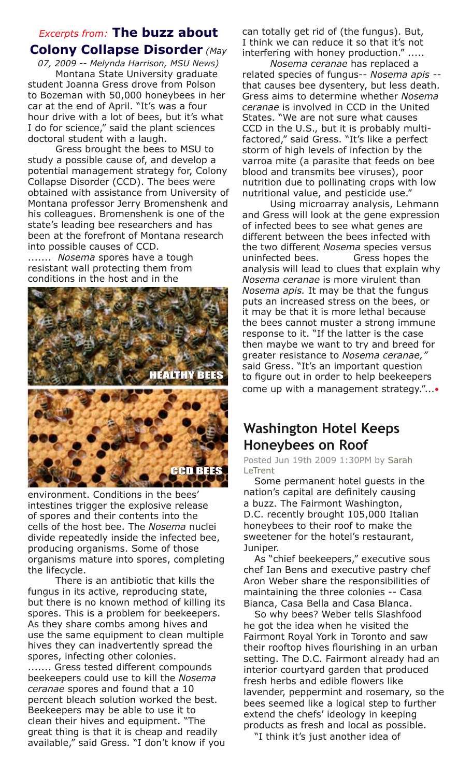### *Excerpts from:* **The buzz about Colony Collapse Disorder** *(May*

*07, 2009 -- Melynda Harrison, MSU News)* Montana State University graduate student Joanna Gress drove from Polson to Bozeman with 50,000 honeybees in her car at the end of April. "It's was a four hour drive with a lot of bees, but it's what I do for science," said the plant sciences doctoral student with a laugh.

Gress brought the bees to MSU to study a possible cause of, and develop a potential management strategy for, Colony Collapse Disorder (CCD). The bees were obtained with assistance from University of Montana professor Jerry Bromenshenk and his colleagues. Bromenshenk is one of the state's leading bee researchers and has been at the forefront of Montana research into possible causes of CCD.

....... *Nosema* spores have a tough resistant wall protecting them from conditions in the host and in the





environment. Conditions in the bees' intestines trigger the explosive release of spores and their contents into the cells of the host bee. The *Nosema* nuclei divide repeatedly inside the infected bee, producing organisms. Some of those organisms mature into spores, completing the lifecycle.

There is an antibiotic that kills the fungus in its active, reproducing state, but there is no known method of killing its spores. This is a problem for beekeepers. As they share combs among hives and use the same equipment to clean multiple hives they can inadvertently spread the spores, infecting other colonies. ....... Gress tested different compounds beekeepers could use to kill the *Nosema ceranae* spores and found that a 10 percent bleach solution worked the best. Beekeepers may be able to use it to clean their hives and equipment. "The great thing is that it is cheap and readily available," said Gress. "I don't know if you

can totally get rid of (the fungus). But, I think we can reduce it so that it's not interfering with honey production." .....

*Nosema ceranae* has replaced a related species of fungus-- *Nosema apis* - that causes bee dysentery, but less death. Gress aims to determine whether *Nosema ceranae* is involved in CCD in the United States. "We are not sure what causes CCD in the U.S., but it is probably multifactored," said Gress. "It's like a perfect storm of high levels of infection by the varroa mite (a parasite that feeds on bee blood and transmits bee viruses), poor nutrition due to pollinating crops with low nutritional value, and pesticide use."

Using microarray analysis, Lehmann and Gress will look at the gene expression of infected bees to see what genes are different between the bees infected with the two different *Nosema* species versus uninfected bees. Gress hopes the analysis will lead to clues that explain why *Nosema ceranae* is more virulent than *Nosema apis.* It may be that the fungus puts an increased stress on the bees, or it may be that it is more lethal because the bees cannot muster a strong immune response to it. "If the latter is the case then maybe we want to try and breed for greater resistance to *Nosema ceranae,"*  said Gress. "It's an important question to figure out in order to help beekeepers come up with a management strategy."...•

## **Washington Hotel Keeps Honeybees on Roof**

Posted Jun 19th 2009 1:30PM by Sarah **LeTrent** 

Some permanent hotel guests in the nation's capital are definitely causing a buzz. The Fairmont Washington, D.C. recently brought 105,000 Italian honeybees to their roof to make the sweetener for the hotel's restaurant, Juniper.

As "chief beekeepers," executive sous chef Ian Bens and executive pastry chef Aron Weber share the responsibilities of maintaining the three colonies -- Casa Bianca, Casa Bella and Casa Blanca.

So why bees? Weber tells Slashfood he got the idea when he visited the Fairmont Royal York in Toronto and saw their rooftop hives flourishing in an urban setting. The D.C. Fairmont already had an interior courtyard garden that produced fresh herbs and edible flowers like lavender, peppermint and rosemary, so the bees seemed like a logical step to further extend the chefs' ideology in keeping products as fresh and local as possible.

"I think it's just another idea of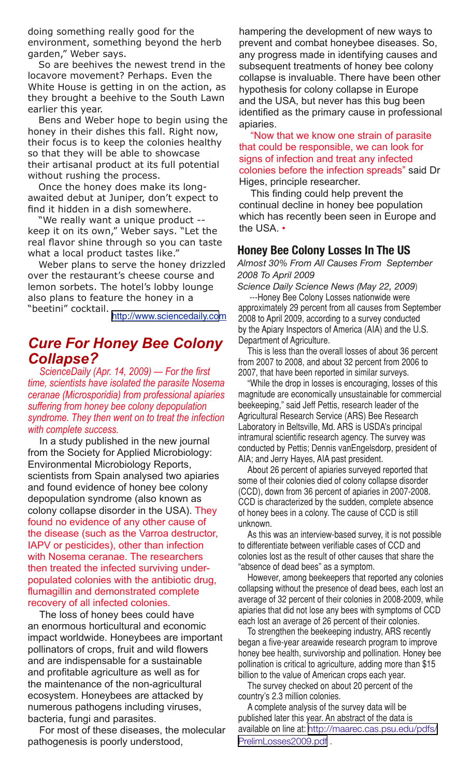doing something really good for the environment, something beyond the herb garden," Weber says.

So are beehives the newest trend in the locavore movement? Perhaps. Even the White House is getting in on the action, as they brought a beehive to the South Lawn earlier this year.

Bens and Weber hope to begin using the honey in their dishes this fall. Right now, their focus is to keep the colonies healthy so that they will be able to showcase their artisanal product at its full potential without rushing the process.

Once the honey does make its longawaited debut at Juniper, don't expect to find it hidden in a dish somewhere.

"We really want a unique product - keep it on its own," Weber says. "Let the real flavor shine through so you can taste what a local product tastes like."

Weber plans to serve the honey drizzled over the restaurant's cheese course and lemon sorbets. The hotel's lobby lounge also plans to feature the honey in a "beetini" cocktail.

[http://www.sciencedaily.com](http://www.sciencedaily.com/releases/2009/04/090414084627.htm)

## *Cure For Honey Bee Colony Collapse?*

*ScienceDaily (Apr. 14, 2009) — For the first time, scientists have isolated the parasite Nosema ceranae (Microsporidia) from professional apiaries suffering from honey bee colony depopulation syndrome. They then went on to treat the infection with complete success.*

In a study published in the new journal from the Society for Applied Microbiology: Environmental Microbiology Reports, scientists from Spain analysed two apiaries and found evidence of honey bee colony depopulation syndrome (also known as colony collapse disorder in the USA). They found no evidence of any other cause of the disease (such as the Varroa destructor, IAPV or pesticides), other than infection with Nosema ceranae. The researchers then treated the infected surviving underpopulated colonies with the antibiotic drug, flumagillin and demonstrated complete recovery of all infected colonies.

The loss of honey bees could have an enormous horticultural and economic impact worldwide. Honeybees are important pollinators of crops, fruit and wild flowers and are indispensable for a sustainable and profitable agriculture as well as for the maintenance of the non-agricultural ecosystem. Honeybees are attacked by numerous pathogens including viruses, bacteria, fungi and parasites.

For most of these diseases, the molecular pathogenesis is poorly understood,

hampering the development of new ways to prevent and combat honeybee diseases. So, any progress made in identifying causes and subsequent treatments of honey bee colony collapse is invaluable. There have been other hypothesis for colony collapse in Europe and the USA, but never has this bug been identified as the primary cause in professional apiaries.

"Now that we know one strain of parasite that could be responsible, we can look for signs of infection and treat any infected colonies before the infection spreads" said Dr Higes, principle researcher.

This finding could help prevent the continual decline in honey bee population which has recently been seen in Europe and the USA. •

#### **Honey Bee Colony Losses In The US**

*Almost 30% From All Causes From September 2008 To April 2009*

*Science Daily Science News (May 22, 2009*) ---Honey Bee Colony Losses nationwide were

approximately 29 percent from all causes from September 2008 to April 2009, according to a survey conducted by the Apiary Inspectors of America (AIA) and the U.S. Department of Agriculture.

This is less than the overall losses of about 36 percent from 2007 to 2008, and about 32 percent from 2006 to 2007, that have been reported in similar surveys.

"While the drop in losses is encouraging, losses of this magnitude are economically unsustainable for commercial beekeeping," said Jeff Pettis, research leader of the Agricultural Research Service (ARS) Bee Research Laboratory in Beltsville, Md. ARS is USDA's principal intramural scientific research agency. The survey was conducted by Pettis; Dennis vanEngelsdorp, president of AIA; and Jerry Hayes, AIA past president.

About 26 percent of apiaries surveyed reported that some of their colonies died of colony collapse disorder (CCD), down from 36 percent of apiaries in 2007-2008. CCD is characterized by the sudden, complete absence of honey bees in a colony. The cause of CCD is still unknown.

As this was an interview-based survey, it is not possible to differentiate between verifiable cases of CCD and colonies lost as the result of other causes that share the "absence of dead bees" as a symptom.

However, among beekeepers that reported any colonies collapsing without the presence of dead bees, each lost an average of 32 percent of their colonies in 2008-2009, while apiaries that did not lose any bees with symptoms of CCD each lost an average of 26 percent of their colonies.

To strengthen the beekeeping industry, ARS recently began a five-year areawide research program to improve honey bee health, survivorship and pollination. Honey bee pollination is critical to agriculture, adding more than \$15 billion to the value of American crops each year.

The survey checked on about 20 percent of the country's 2.3 million colonies.

A complete analysis of the survey data will be published later this year. An abstract of the data is available on line at: [http://maarec.cas.psu.edu/pdfs/](http://maarec.cas.psu.edu/pdfs/PrelimLosses2009.pdf) [PrelimLosses2009.pdf](http://maarec.cas.psu.edu/pdfs/PrelimLosses2009.pdf) .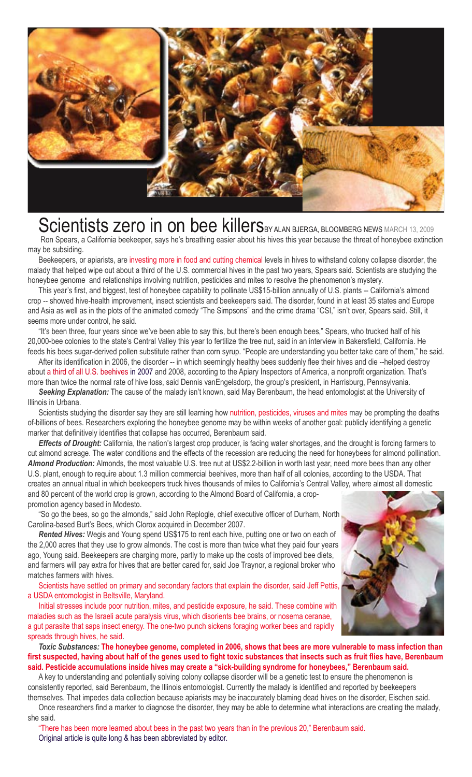

# Scientists zero in on bee killersBY ALAN BJERGA, BLOOMBERG NEWS MARCH 13, 2009

Ron Spears, a California beekeeper, says he's breathing easier about his hives this year because the threat of honeybee extinction may be subsiding.

Beekeepers, or apiarists, are investing more in food and cutting chemical levels in hives to withstand colony collapse disorder, the malady that helped wipe out about a third of the U.S. commercial hives in the past two years, Spears said. Scientists are studying the honeybee genome and relationships involving nutrition, pesticides and mites to resolve the phenomenon's mystery.

This year's first, and biggest, test of honeybee capability to pollinate US\$15-billion annually of U.S. plants -- California's almond crop -- showed hive-health improvement, insect scientists and beekeepers said. The disorder, found in at least 35 states and Europe and Asia as well as in the plots of the animated comedy "The Simpsons" and the crime drama "CSI," isn't over, Spears said. Still, it seems more under control, he said.

"It's been three, four years since we've been able to say this, but there's been enough bees," Spears, who trucked half of his 20,000-bee colonies to the state's Central Valley this year to fertilize the tree nut, said in an interview in Bakersfield, California. He feeds his bees sugar-derived pollen substitute rather than corn syrup. "People are understanding you better take care of them," he said.

After its identification in 2006, the disorder -- in which seemingly healthy bees suddenly flee their hives and die --helped destroy about a third of all U.S. beehives in 2007 and 2008, according to the Apiary Inspectors of America, a nonprofit organization. That's more than twice the normal rate of hive loss, said Dennis vanEngelsdorp, the group's president, in Harrisburg, Pennsylvania.

*Seeking Explanation:* The cause of the malady isn't known, said May Berenbaum, the head entomologist at the University of Illinois in Urbana.

Scientists studying the disorder say they are still learning how nutrition, pesticides, viruses and mites may be prompting the deaths of-billions of bees. Researchers exploring the honeybee genome may be within weeks of another goal: publicly identifying a genetic marker that definitively identifies that collapse has occurred. Berenbaum said.

*Effects of Drought:* California, the nation's largest crop producer, is facing water shortages, and the drought is forcing farmers to cut almond acreage. The water conditions and the effects of the recession are reducing the need for honeybees for almond pollination. *Almond Production:* Almonds, the most valuable U.S. tree nut at US\$2.2-billion in worth last year, need more bees than any other U.S. plant, enough to require about 1.3 million commercial beehives, more than half of all colonies, according to the USDA. That creates an annual ritual in which beekeepers truck hives thousands of miles to California's Central Valley, where almost all domestic and 80 percent of the world crop is grown, according to the Almond Board of California, a crop-

promotion agency based in Modesto. "So go the bees, so go the almonds," said John Replogle, chief executive officer of Durham, North Carolina-based Burt's Bees, which Clorox acquired in December 2007.

*Rented Hives:* Wegis and Young spend US\$175 to rent each hive, putting one or two on each of the 2,000 acres that they use to grow almonds. The cost is more than twice what they paid four years ago, Young said. Beekeepers are charging more, partly to make up the costs of improved bee diets, and farmers will pay extra for hives that are better cared for, said Joe Traynor, a regional broker who matches farmers with hives.

Scientists have settled on primary and secondary factors that explain the disorder, said Jeff Pettis, a USDA entomologist in Beltsville, Maryland.

Initial stresses include poor nutrition, mites, and pesticide exposure, he said. These combine with maladies such as the Israeli acute paralysis virus, which disorients bee brains, or nosema ceranae, a gut parasite that saps insect energy. The one-two punch sickens foraging worker bees and rapidly spreads through hives, he said.

*Toxic Substances:* **The honeybee genome, completed in 2006, shows that bees are more vulnerable to mass infection than**  first suspected, having about half of the genes used to fight toxic substances that insects such as fruit flies have, Berenbaum **said. Pesticide accumulations inside hives may create a "sick-building syndrome for honeybees," Berenbaum said.**

A key to understanding and potentially solving colony collapse disorder will be a genetic test to ensure the phenomenon is consistently reported, said Berenbaum, the Illinois entomologist. Currently the malady is identified and reported by beekeepers themselves. That impedes data collection because apiarists may be inaccurately blaming dead hives on the disorder, Eischen said.

Once researchers find a marker to diagnose the disorder, they may be able to determine what interactions are creating the malady, she said.

"There has been more learned about bees in the past two years than in the previous 20," Berenbaum said. Original article is quite long & has been abbreviated by editor.